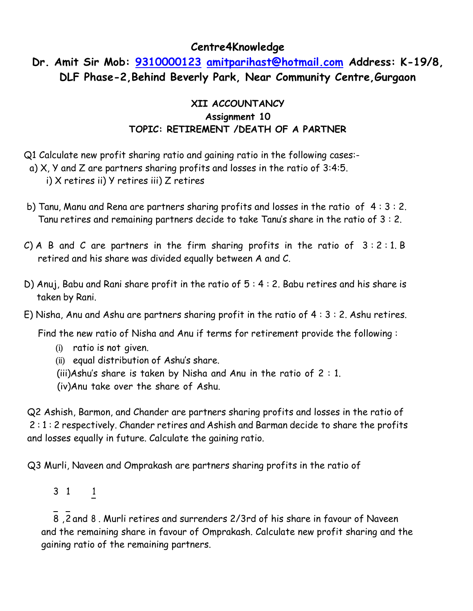### **Centre4Knowledge**

# **Dr. Amit Sir Mob: [9310000123](tel:9310000123) [amitparihast@hotmail.com](mailto:amitparihast@hotmail.com) Address: K-19/8, DLF Phase-2,Behind Beverly Park, Near Community Centre,Gurgaon**

### **XII ACCOUNTANCY Assignment 10 TOPIC: RETIREMENT /DEATH OF A PARTNER**

- Q1 Calculate new profit sharing ratio and gaining ratio in the following cases:-
- a) X, Y and Z are partners sharing profits and losses in the ratio of 3:4:5.

i) X retires ii) Y retires iii) Z retires

- b) Tanu, Manu and Rena are partners sharing profits and losses in the ratio of 4 : 3 : 2. Tanu retires and remaining partners decide to take Tanu's share in the ratio of 3 : 2.
- C) A B and C are partners in the firm sharing profits in the ratio of  $3:2:1$ . B retired and his share was divided equally between A and C.
- D) Anuj, Babu and Rani share profit in the ratio of 5 : 4 : 2. Babu retires and his share is taken by Rani.
- E) Nisha, Anu and Ashu are partners sharing profit in the ratio of 4 : 3 : 2. Ashu retires.

Find the new ratio of Nisha and Anu if terms for retirement provide the following :

- (i) ratio is not given.
- (ii) equal distribution of Ashu's share.
- (iii)Ashu's share is taken by Nisha and Anu in the ratio of 2 : 1.
- (iv)Anu take over the share of Ashu.

Q2 Ashish, Barmon, and Chander are partners sharing profits and losses in the ratio of 2 : 1 : 2 respectively. Chander retires and Ashish and Barman decide to share the profits and losses equally in future. Calculate the gaining ratio.

Q3 Murli, Naveen and Omprakash are partners sharing profits in the ratio of

3 1 1

, and 8 2 8 . Murli retires and surrenders 2/3rd of his share in favour of Naveen and the remaining share in favour of Omprakash. Calculate new profit sharing and the gaining ratio of the remaining partners.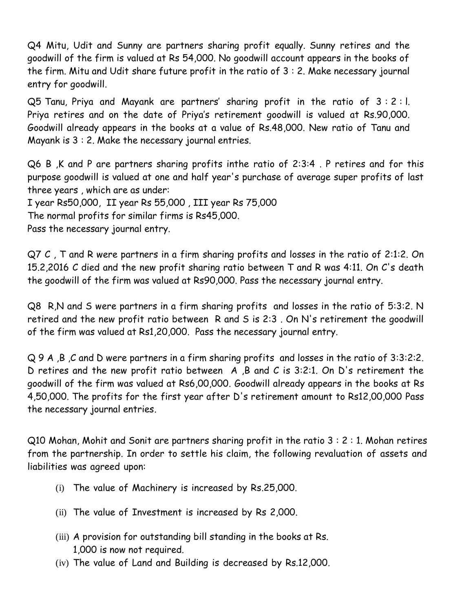Q4 Mitu, Udit and Sunny are partners sharing profit equally. Sunny retires and the goodwill of the firm is valued at Rs 54,000. No goodwill account appears in the books of the firm. Mitu and Udit share future profit in the ratio of 3 : 2. Make necessary journal entry for goodwill.

Q5 Tanu, Priya and Mayank are partners' sharing profit in the ratio of 3 : 2 : l. Priya retires and on the date of Priya's retirement goodwill is valued at Rs.90,000. Goodwill already appears in the books at a value of Rs.48,000. New ratio of Tanu and Mayank is 3 : 2. Make the necessary journal entries.

Q6 B ,K and P are partners sharing profits inthe ratio of 2:3:4 . P retires and for this purpose goodwill is valued at one and half year's purchase of average super profits of last three years , which are as under:

I year Rs50,000, II year Rs 55,000 , III year Rs 75,000

The normal profits for similar firms is Rs45,000.

Pass the necessary journal entry.

Q7 C , T and R were partners in a firm sharing profits and losses in the ratio of 2:1:2. On 15.2,2016 C died and the new profit sharing ratio between T and R was 4:11. On C's death the goodwill of the firm was valued at Rs90,000. Pass the necessary journal entry.

Q8 R,N and S were partners in a firm sharing profits and losses in the ratio of 5:3:2. N retired and the new profit ratio between R and S is 2:3 . On N's retirement the goodwill of the firm was valued at Rs1,20,000. Pass the necessary journal entry.

Q 9 A ,B ,C and D were partners in a firm sharing profits and losses in the ratio of 3:3:2:2. D retires and the new profit ratio between A ,B and C is 3:2:1. On D's retirement the goodwill of the firm was valued at Rs6,00,000. Goodwill already appears in the books at Rs 4,50,000. The profits for the first year after D's retirement amount to Rs12,00,000 Pass the necessary journal entries.

Q10 Mohan, Mohit and Sonit are partners sharing profit in the ratio 3 : 2 : 1. Mohan retires from the partnership. In order to settle his claim, the following revaluation of assets and liabilities was agreed upon:

- (i) The value of Machinery is increased by Rs.25,000.
- (ii) The value of Investment is increased by Rs 2,000.
- (iii) A provision for outstanding bill standing in the books at Rs. 1,000 is now not required.
- (iv) The value of Land and Building is decreased by Rs.12,000.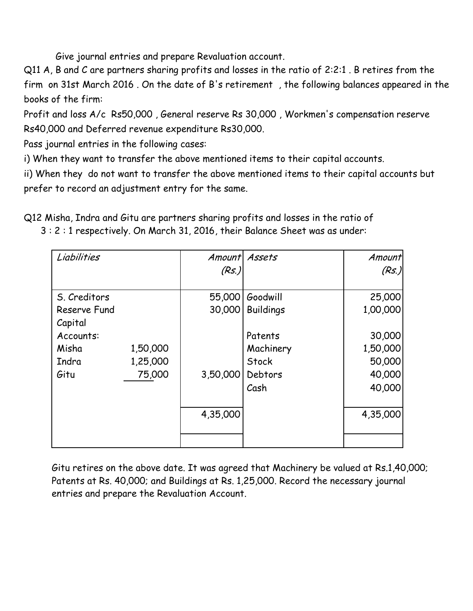Give journal entries and prepare Revaluation account.

Q11 A, B and C are partners sharing profits and losses in the ratio of 2:2:1 . B retires from the firm on 31st March 2016 . On the date of B's retirement , the following balances appeared in the books of the firm:

Profit and loss A/c Rs50,000 , General reserve Rs 30,000 , Workmen's compensation reserve Rs40,000 and Deferred revenue expenditure Rs30,000.

Pass journal entries in the following cases:

i) When they want to transfer the above mentioned items to their capital accounts.

ii) When they do not want to transfer the above mentioned items to their capital accounts but prefer to record an adjustment entry for the same.

Q12 Misha, Indra and Gitu are partners sharing profits and losses in the ratio of

3 : 2 : 1 respectively. On March 31, 2016, their Balance Sheet was as under:

| Liabilities  |          | Amount Assets<br>(Rs.) |                  | Amount<br>(Rs.) |
|--------------|----------|------------------------|------------------|-----------------|
| S. Creditors |          | 55,000                 | Goodwill         | 25,000          |
| Reserve Fund |          | 30,000                 | <b>Buildings</b> | 1,00,000        |
| Capital      |          |                        |                  |                 |
| Accounts:    |          |                        | Patents          | 30,000          |
| Misha        | 1,50,000 |                        | Machinery        | 1,50,000        |
| Indra        | 1,25,000 |                        | Stock            | 50,000          |
| Gitu         | 75,000   | 3,50,000               | Debtors          | 40,000          |
|              |          |                        | Cash             | 40,000          |
|              |          | 4,35,000               |                  | 4,35,000        |
|              |          |                        |                  |                 |

Gitu retires on the above date. It was agreed that Machinery be valued at Rs.1,40,000; Patents at Rs. 40,000; and Buildings at Rs. 1,25,000. Record the necessary journal entries and prepare the Revaluation Account.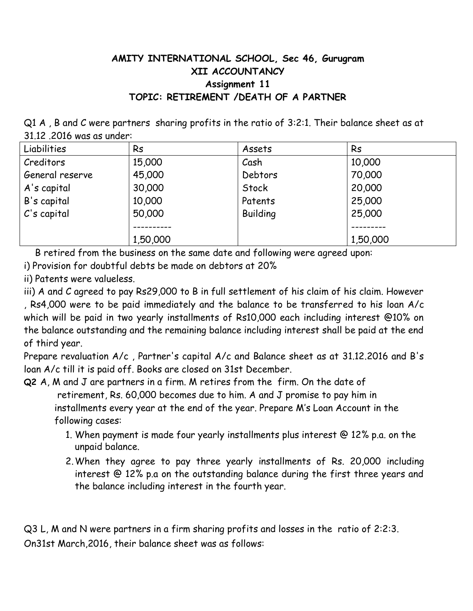## **AMITY INTERNATIONAL SCHOOL, Sec 46, Gurugram XII ACCOUNTANCY Assignment 11 TOPIC: RETIREMENT /DEATH OF A PARTNER**

Q1 A , B and C were partners sharing profits in the ratio of 3:2:1. Their balance sheet as at 31.12 .2016 was as under:

| Liabilities     | <b>Rs</b> | Assets          | <b>Rs</b> |
|-----------------|-----------|-----------------|-----------|
| Creditors       | 15,000    | Cash            | 10,000    |
| General reserve | 45,000    | Debtors         | 70,000    |
| A's capital     | 30,000    | Stock           | 20,000    |
| B's capital     | 10,000    | Patents         | 25,000    |
| $C$ 's capital  | 50,000    | <b>Building</b> | 25,000    |
|                 |           |                 |           |
|                 | 1,50,000  |                 | 1,50,000  |

B retired from the business on the same date and following were agreed upon:

i) Provision for doubtful debts be made on debtors at 20%

ii) Patents were valueless.

iii) A and C agreed to pay Rs29,000 to B in full settlement of his claim of his claim. However , Rs4,000 were to be paid immediately and the balance to be transferred to his loan A/c which will be paid in two yearly installments of Rs10,000 each including interest @10% on the balance outstanding and the remaining balance including interest shall be paid at the end of third year.

Prepare revaluation A/c , Partner's capital A/c and Balance sheet as at 31.12.2016 and B's loan A/c till it is paid off. Books are closed on 31st December.

**Q2** A, M and J are partners in a firm. M retires from the firm. On the date of retirement, Rs. 60,000 becomes due to him. A and J promise to pay him in installments every year at the end of the year. Prepare M's Loan Account in the following cases:

- 1. When payment is made four yearly installments plus interest @ 12% p.a. on the unpaid balance.
- 2.When they agree to pay three yearly installments of Rs. 20,000 including interest @ 12% p.a on the outstanding balance during the first three years and the balance including interest in the fourth year.

Q3 L, M and N were partners in a firm sharing profits and losses in the ratio of 2:2:3. On31st March,2016, their balance sheet was as follows: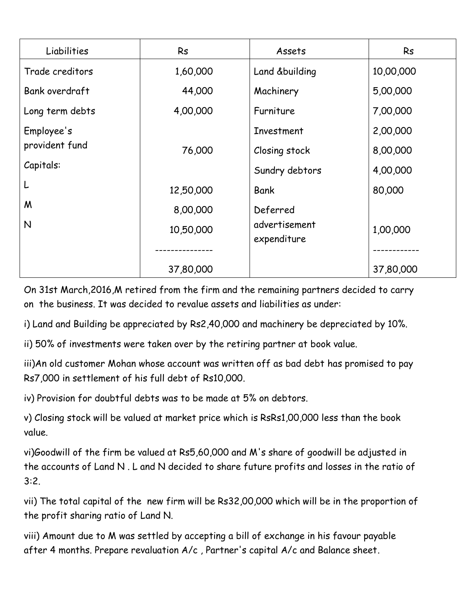| Liabilities     | <b>Rs</b> | Assets         | Rs        |
|-----------------|-----------|----------------|-----------|
| Trade creditors | 1,60,000  | Land &building | 10,00,000 |
| Bank overdraft  | 44,000    | Machinery      | 5,00,000  |
| Long term debts | 4,00,000  | Furniture      | 7,00,000  |
| Employee's      |           | Investment     | 2,00,000  |
| provident fund  | 76,000    | Closing stock  | 8,00,000  |
| Capitals:       |           | Sundry debtors | 4,00,000  |
| L               | 12,50,000 | Bank           | 80,000    |
| M               | 8,00,000  | Deferred       |           |
| N               | 10,50,000 | advertisement  | 1,00,000  |
|                 |           | expenditure    |           |
|                 | 37,80,000 |                | 37,80,000 |

On 31st March,2016,M retired from the firm and the remaining partners decided to carry on the business. It was decided to revalue assets and liabilities as under:

i) Land and Building be appreciated by Rs2,40,000 and machinery be depreciated by 10%.

ii) 50% of investments were taken over by the retiring partner at book value.

iii)An old customer Mohan whose account was written off as bad debt has promised to pay Rs7,000 in settlement of his full debt of Rs10,000.

iv) Provision for doubtful debts was to be made at 5% on debtors.

v) Closing stock will be valued at market price which is RsRs1,00,000 less than the book value.

vi)Goodwill of the firm be valued at Rs5,60,000 and M's share of goodwill be adjusted in the accounts of Land N . L and N decided to share future profits and losses in the ratio of 3:2.

vii) The total capital of the new firm will be Rs32,00,000 which will be in the proportion of the profit sharing ratio of Land N.

viii) Amount due to M was settled by accepting a bill of exchange in his favour payable after 4 months. Prepare revaluation A/c , Partner's capital A/c and Balance sheet.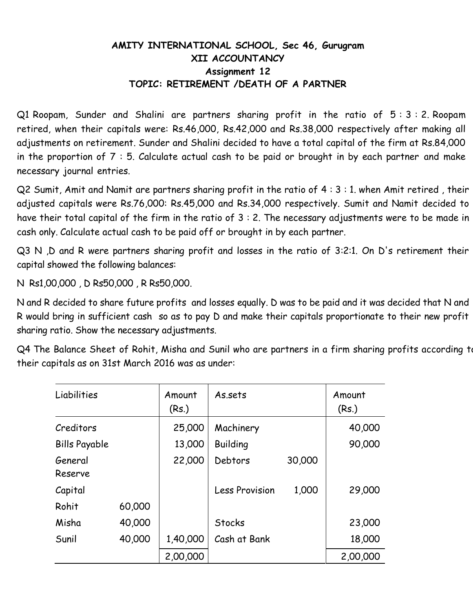### **AMITY INTERNATIONAL SCHOOL, Sec 46, Gurugram XII ACCOUNTANCY Assignment 12 TOPIC: RETIREMENT /DEATH OF A PARTNER**

Q1 Roopam, Sunder and Shalini are partners sharing profit in the ratio of 5 : 3 : 2. Roopam retired, when their capitals were: Rs.46,000, Rs.42,000 and Rs.38,000 respectively after making all adjustments on retirement. Sunder and Shalini decided to have a total capital of the firm at Rs.84,000 in the proportion of 7 : 5. Calculate actual cash to be paid or brought in by each partner and make necessary journal entries.

Q2 Sumit, Amit and Namit are partners sharing profit in the ratio of 4 : 3 : 1. when Amit retired , their adjusted capitals were Rs.76,000: Rs.45,000 and Rs.34,000 respectively. Sumit and Namit decided to have their total capital of the firm in the ratio of 3 : 2. The necessary adjustments were to be made in cash only. Calculate actual cash to be paid off or brought in by each partner.

Q3 N ,D and R were partners sharing profit and losses in the ratio of 3:2:1. On D's retirement their capital showed the following balances:

N Rs1,00,000 , D Rs50,000 , R Rs50,000.

N and R decided to share future profits and losses equally. D was to be paid and it was decided that N and R would bring in sufficient cash so as to pay D and make their capitals proportionate to their new profit sharing ratio. Show the necessary adjustments.

Q4 The Balance Sheet of Rohit, Misha and Sunil who are partners in a firm sharing profits according to their capitals as on 31st March 2016 was as under:

| Liabilities          |        | Amount<br>(Rs.) | As.sets               |        | Amount<br>(Rs.) |
|----------------------|--------|-----------------|-----------------------|--------|-----------------|
| Creditors            |        | 25,000          | Machinery             |        | 40,000          |
| <b>Bills Payable</b> |        | 13,000          | <b>Building</b>       |        | 90,000          |
| General<br>Reserve   |        | 22,000          | Debtors               | 30,000 |                 |
| Capital              |        |                 | <b>Less Provision</b> | 1,000  | 29,000          |
| Rohit                | 60,000 |                 |                       |        |                 |
| Misha                | 40,000 |                 | Stocks                |        | 23,000          |
| Sunil                | 40,000 | 1,40,000        | Cash at Bank          |        | 18,000          |
|                      |        | 2,00,000        |                       |        | 2,00,000        |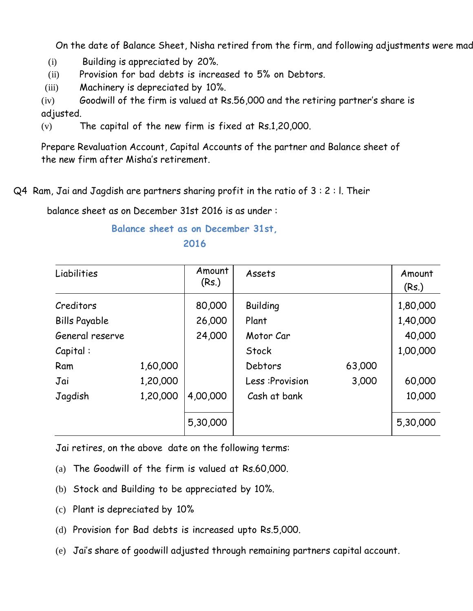On the date of Balance Sheet, Nisha retired from the firm, and following adjustments were mad

- (i) Building is appreciated by 20%.
- (ii) Provision for bad debts is increased to 5% on Debtors.
- (iii) Machinery is depreciated by 10%.

(iv) Goodwill of the firm is valued at Rs.56,000 and the retiring partner's share is adjusted.

(v) The capital of the new firm is fixed at Rs.1,20,000.

Prepare Revaluation Account, Capital Accounts of the partner and Balance sheet of the new firm after Misha's retirement.

Q4 Ram, Jai and Jagdish are partners sharing profit in the ratio of 3 : 2 : l. Their

balance sheet as on December 31st 2016 is as under :

#### **Balance sheet as on December 31st, 2016**

| Liabilities          |          | Amount<br>(Rs.) | Assets          |        | Amount<br>(Rs.) |
|----------------------|----------|-----------------|-----------------|--------|-----------------|
| Creditors            |          | 80,000          | <b>Building</b> |        | 1,80,000        |
| <b>Bills Payable</b> |          | 26,000          | Plant           |        | 1,40,000        |
| General reserve      |          | 24,000          | Motor Car       |        | 40,000          |
| Capital:             |          |                 | Stock           |        | 1,00,000        |
| Ram                  | 1,60,000 |                 | Debtors         | 63,000 |                 |
| Jai                  | 1,20,000 |                 | Less: Provision | 3,000  | 60,000          |
| Jagdish              | 1,20,000 | 4,00,000        | Cash at bank    |        | 10,000          |
|                      |          | 5,30,000        |                 |        | 5,30,000        |

Jai retires, on the above date on the following terms:

- (a) The Goodwill of the firm is valued at Rs.60,000.
- (b) Stock and Building to be appreciated by 10%.
- (c) Plant is depreciated by 10%
- (d) Provision for Bad debts is increased upto Rs.5,000.
- (e) Jai's share of goodwill adjusted through remaining partners capital account.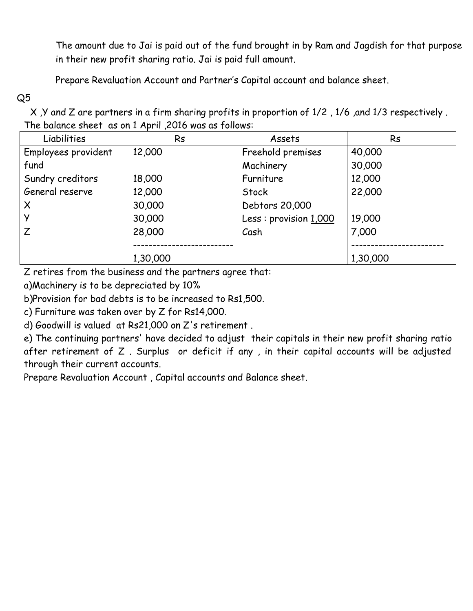The amount due to Jai is paid out of the fund brought in by Ram and Jagdish for that purpose in their new profit sharing ratio. Jai is paid full amount.

Prepare Revaluation Account and Partner's Capital account and balance sheet.

Q5

 X ,Y and Z are partners in a firm sharing profits in proportion of 1/2 , 1/6 ,and 1/3 respectively . The balance sheet as on 1 April ,2016 was as follows:

| Liabilities         | <b>Rs</b> | Assets                | <b>Rs</b> |
|---------------------|-----------|-----------------------|-----------|
| Employees provident | 12,000    | Freehold premises     | 40,000    |
| fund                |           | Machinery             | 30,000    |
| Sundry creditors    | 18,000    | Furniture             | 12,000    |
| General reserve     | 12,000    | Stock                 | 22,000    |
| $\times$            | 30,000    | Debtors 20,000        |           |
|                     | 30,000    | Less: provision 1,000 | 19,000    |
| Z                   | 28,000    | Cash                  | 7,000     |
|                     |           |                       |           |
|                     | 1,30,000  |                       | 1,30,000  |

Z retires from the business and the partners agree that:

a)Machinery is to be depreciated by 10%

b)Provision for bad debts is to be increased to Rs1,500.

c) Furniture was taken over by Z for Rs14,000.

d) Goodwill is valued at Rs21,000 on Z's retirement .

e) The continuing partners' have decided to adjust their capitals in their new profit sharing ratio after retirement of Z . Surplus or deficit if any , in their capital accounts will be adjusted through their current accounts.

Prepare Revaluation Account , Capital accounts and Balance sheet.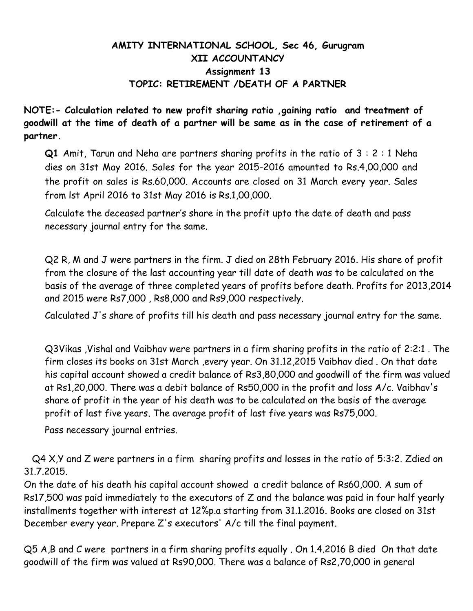### **AMITY INTERNATIONAL SCHOOL, Sec 46, Gurugram XII ACCOUNTANCY Assignment 13 TOPIC: RETIREMENT /DEATH OF A PARTNER**

**NOTE:- Calculation related to new profit sharing ratio ,gaining ratio and treatment of goodwill at the time of death of a partner will be same as in the case of retirement of a partner.**

**Q1** Amit, Tarun and Neha are partners sharing profits in the ratio of 3 : 2 : 1 Neha dies on 31st May 2016. Sales for the year 2015-2016 amounted to Rs.4,00,000 and the profit on sales is Rs.60,000. Accounts are closed on 31 March every year. Sales from lst April 2016 to 31st May 2016 is Rs.1,00,000.

Calculate the deceased partner's share in the profit upto the date of death and pass necessary journal entry for the same.

Q2 R, M and J were partners in the firm. J died on 28th February 2016. His share of profit from the closure of the last accounting year till date of death was to be calculated on the basis of the average of three completed years of profits before death. Profits for 2013,2014 and 2015 were Rs7,000 , Rs8,000 and Rs9,000 respectively.

Calculated J's share of profits till his death and pass necessary journal entry for the same.

Q3Vikas ,Vishal and Vaibhav were partners in a firm sharing profits in the ratio of 2:2:1 . The firm closes its books on 31st March ,every year. On 31.12,2015 Vaibhav died . On that date his capital account showed a credit balance of Rs3,80,000 and goodwill of the firm was valued at Rs1,20,000. There was a debit balance of Rs50,000 in the profit and loss A/c. Vaibhav's share of profit in the year of his death was to be calculated on the basis of the average profit of last five years. The average profit of last five years was Rs75,000.

Pass necessary journal entries.

Q4 X,Y and Z were partners in a firm sharing profits and losses in the ratio of 5:3:2. Zdied on 31.7.2015.

On the date of his death his capital account showed a credit balance of Rs60,000. A sum of Rs17,500 was paid immediately to the executors of Z and the balance was paid in four half yearly installments together with interest at 12%p.a starting from 31.1.2016. Books are closed on 31st December every year. Prepare Z's executors' A/c till the final payment.

Q5 A,B and C were partners in a firm sharing profits equally . On 1.4.2016 B died On that date goodwill of the firm was valued at Rs90,000. There was a balance of Rs2,70,000 in general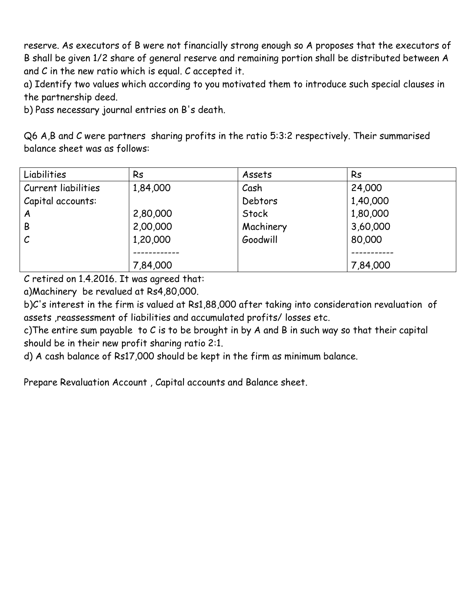reserve. As executors of B were not financially strong enough so A proposes that the executors of B shall be given 1/2 share of general reserve and remaining portion shall be distributed between A and C in the new ratio which is equal. C accepted it.

a) Identify two values which according to you motivated them to introduce such special clauses in the partnership deed.

b) Pass necessary journal entries on B's death.

Q6 A,B and C were partners sharing profits in the ratio 5:3:2 respectively. Their summarised balance sheet was as follows:

| Liabilities         | <b>Rs</b> | Assets    | <b>Rs</b> |
|---------------------|-----------|-----------|-----------|
| Current liabilities | 1,84,000  | Cash      | 24,000    |
| Capital accounts:   |           | Debtors   | 1,40,000  |
| A                   | 2,80,000  | Stock     | 1,80,000  |
| B                   | 2,00,000  | Machinery | 3,60,000  |
| $\mathcal{C}$       | 1,20,000  | Goodwill  | 80,000    |
|                     |           |           |           |
|                     | 7,84,000  |           | 7,84,000  |

C retired on 1.4.2016. It was agreed that:

a)Machinery be revalued at Rs4,80,000.

b)C's interest in the firm is valued at Rs1,88,000 after taking into consideration revaluation of assets ,reassessment of liabilities and accumulated profits/ losses etc.

c)The entire sum payable to C is to be brought in by A and B in such way so that their capital should be in their new profit sharing ratio 2:1.

d) A cash balance of Rs17,000 should be kept in the firm as minimum balance.

Prepare Revaluation Account , Capital accounts and Balance sheet.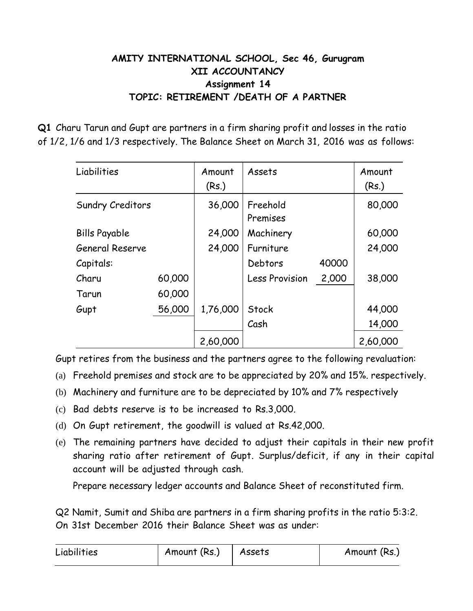## **AMITY INTERNATIONAL SCHOOL, Sec 46, Gurugram XII ACCOUNTANCY Assignment 14 TOPIC: RETIREMENT /DEATH OF A PARTNER**

**Q1** Charu Tarun and Gupt are partners in a firm sharing profit and losses in the ratio of 1/2, 1/6 and 1/3 respectively. The Balance Sheet on March 31, 2016 was as follows:

| Liabilities            |        | Amount<br>(Rs.) | Assets                |       | Amount<br>(Rs.) |
|------------------------|--------|-----------------|-----------------------|-------|-----------------|
| Sundry Creditors       |        | 36,000          | Freehold<br>Premises  |       | 80,000          |
| <b>Bills Payable</b>   |        | 24,000          | Machinery             |       | 60,000          |
| <b>General Reserve</b> |        | 24,000          | Furniture             |       | 24,000          |
| Capitals:              |        |                 | Debtors               | 40000 |                 |
| Charu                  | 60,000 |                 | <b>Less Provision</b> | 2,000 | 38,000          |
| Tarun                  | 60,000 |                 |                       |       |                 |
| Gupt                   | 56,000 | 1,76,000        | Stock                 |       | 44,000          |
|                        |        |                 | Cash                  |       | 14,000          |
|                        |        | 2,60,000        |                       |       | 2,60,000        |

Gupt retires from the business and the partners agree to the following revaluation:

- (a) Freehold premises and stock are to be appreciated by 20% and 15%. respectively.
- (b) Machinery and furniture are to be depreciated by 10% and 7% respectively
- (c) Bad debts reserve is to be increased to Rs.3,000.
- (d) On Gupt retirement, the goodwill is valued at Rs.42,000.
- (e) The remaining partners have decided to adjust their capitals in their new profit sharing ratio after retirement of Gupt. Surplus/deficit, if any in their capital account will be adjusted through cash.

Prepare necessary ledger accounts and Balance Sheet of reconstituted firm.

Q2 Namit, Sumit and Shiba are partners in a firm sharing profits in the ratio 5:3:2. On 31st December 2016 their Balance Sheet was as under:

| Liabilities | Amount (Rs.) | Assets | Amount (Rs.) |
|-------------|--------------|--------|--------------|
|-------------|--------------|--------|--------------|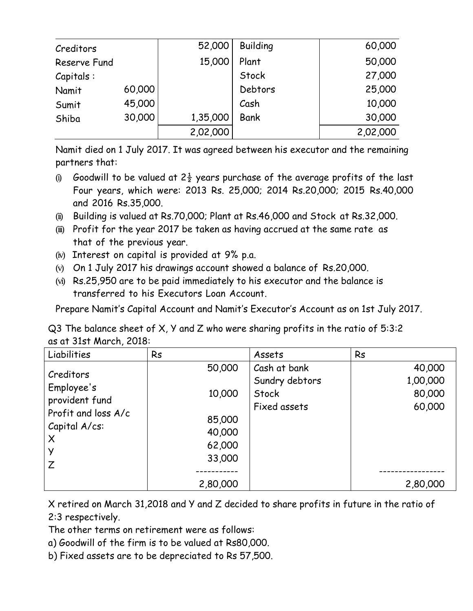| Creditors    |        | 52,000   | <b>Building</b> | 60,000   |
|--------------|--------|----------|-----------------|----------|
| Reserve Fund |        | 15,000   | Plant           | 50,000   |
| Capitals:    |        |          | Stock           | 27,000   |
| Namit        | 60,000 |          | Debtors         | 25,000   |
| Sumit        | 45,000 |          | Cash            | 10,000   |
| Shiba        | 30,000 | 1,35,000 | <b>Bank</b>     | 30,000   |
|              |        | 2,02,000 |                 | 2,02,000 |

Namit died on 1 July 2017. It was agreed between his executor and the remaining partners that:

- (i) Goodwill to be valued at  $2\frac{1}{2}$  years purchase of the average profits of the last Four years, which were: 2013 Rs. 25,000; 2014 Rs.20,000; 2015 Rs.40,000 and 2016 Rs.35,000.
- (ii) Building is valued at Rs.70,000; Plant at Rs.46,000 and Stock at Rs.32,000.
- (iii) Profit for the year 2017 be taken as having accrued at the same rate as that of the previous year.
- (iv) Interest on capital is provided at 9% p.a.
- (v) On 1 July 2017 his drawings account showed a balance of Rs.20,000.
- (vi) Rs.25,950 are to be paid immediately to his executor and the balance is transferred to his Executors Loan Account.

Prepare Namit's Capital Account and Namit's Executor's Account as on 1st July 2017.

Q3 The balance sheet of X, Y and Z who were sharing profits in the ratio of 5:3:2 as at 31st March, 2018:

| Liabilities                                                                                        | <b>Rs</b>                                                | Assets                                                  | <b>Rs</b>                              |
|----------------------------------------------------------------------------------------------------|----------------------------------------------------------|---------------------------------------------------------|----------------------------------------|
| Creditors<br>Employee's<br>provident fund<br>Profit and loss A/c<br>Capital A/cs:<br>$\times$<br>Z | 50,000<br>10,000<br>85,000<br>40,000<br>62,000<br>33,000 | Cash at bank<br>Sundry debtors<br>Stock<br>Fixed assets | 40,000<br>1,00,000<br>80,000<br>60,000 |
|                                                                                                    | 2,80,000                                                 |                                                         | 2,80,000                               |

X retired on March 31,2018 and Y and Z decided to share profits in future in the ratio of 2:3 respectively.

The other terms on retirement were as follows:

- a) Goodwill of the firm is to be valued at Rs80,000.
- b) Fixed assets are to be depreciated to Rs 57,500.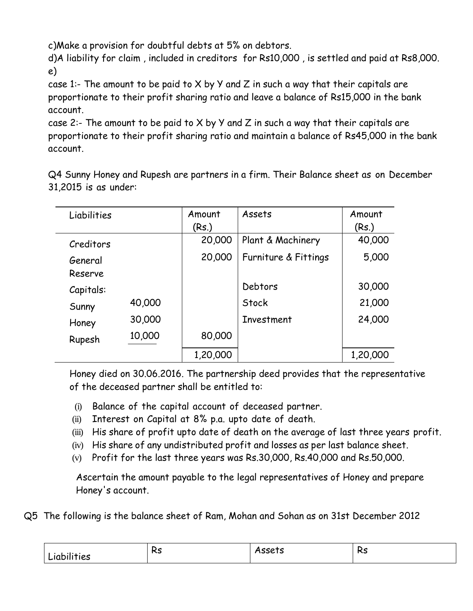c)Make a provision for doubtful debts at 5% on debtors.

d)A liability for claim , included in creditors for Rs10,000 , is settled and paid at Rs8,000. e)

case 1:- The amount to be paid to X by Y and Z in such a way that their capitals are proportionate to their profit sharing ratio and leave a balance of Rs15,000 in the bank account.

case 2:- The amount to be paid to  $X$  by  $Y$  and  $Z$  in such a way that their capitals are proportionate to their profit sharing ratio and maintain a balance of Rs45,000 in the bank account.

Q4 Sunny Honey and Rupesh are partners in a firm. Their Balance sheet as on December 31,2015 is as under:

| Liabilities        |        | Amount   | Assets               | Amount   |
|--------------------|--------|----------|----------------------|----------|
|                    |        | (Rs.)    |                      | (Rs.)    |
| Creditors          |        | 20,000   | Plant & Machinery    | 40,000   |
| General<br>Reserve |        | 20,000   | Furniture & Fittings | 5,000    |
| Capitals:          |        |          | Debtors              | 30,000   |
|                    | 40,000 |          | Stock                | 21,000   |
| Sunny              |        |          |                      |          |
| Honey              | 30,000 |          | Investment           | 24,000   |
| Rupesh             | 10,000 | 80,000   |                      |          |
|                    |        | 1,20,000 |                      | 1,20,000 |

Honey died on 30.06.2016. The partnership deed provides that the representative of the deceased partner shall be entitled to:

- (i) Balance of the capital account of deceased partner.
- (ii) Interest on Capital at 8% p.a. upto date of death.
- (iii) His share of profit upto date of death on the average of last three years profit.
- (iv) His share of any undistributed profit and losses as per last balance sheet.
- (v) Profit for the last three years was Rs.30,000, Rs.40,000 and Rs.50,000.

Ascertain the amount payable to the legal representatives of Honey and prepare Honey's account.

Q5 The following is the balance sheet of Ram, Mohan and Sohan as on 31st December 2012

| .<br>Liabilities | ىر<br>KJ. | Assets | Dc<br>כת |
|------------------|-----------|--------|----------|
|                  |           |        |          |